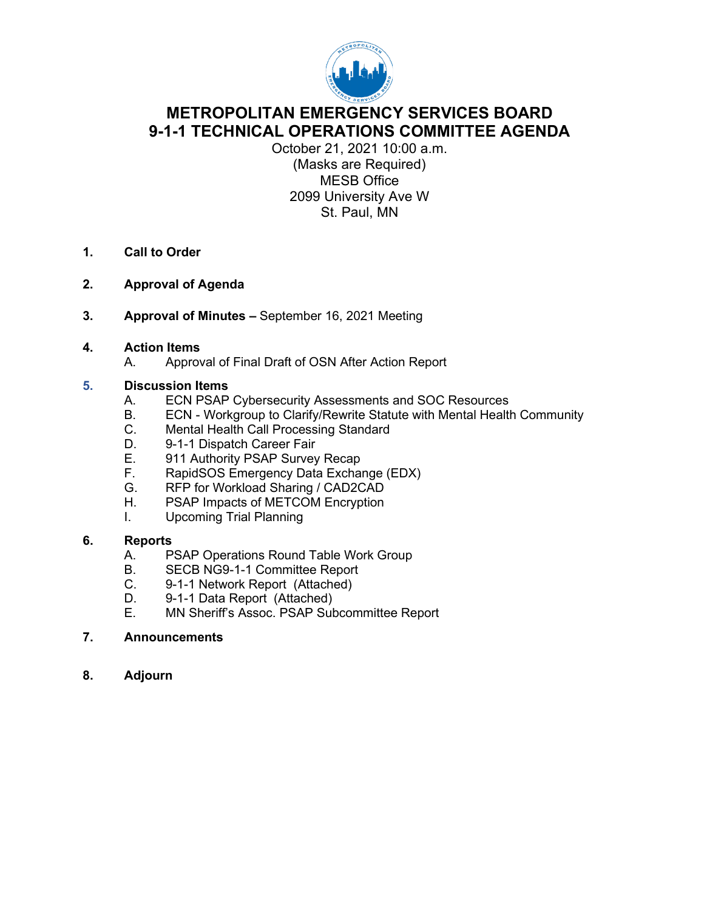

# **METROPOLITAN EMERGENCY SERVICES BOARD 9-1-1 TECHNICAL OPERATIONS COMMITTEE AGENDA**

October 21, 2021 10:00 a.m. (Masks are Required) MESB Office 2099 University Ave W St. Paul, MN

- **1. Call to Order**
- **2. Approval of Agenda**
- **3. Approval of Minutes –** September 16, 2021 Meeting

#### **4. Action Items**

A. Approval of Final Draft of OSN After Action Report

#### **5. Discussion Items**

- A. ECN PSAP Cybersecurity Assessments and SOC Resources
- B. ECN Workgroup to Clarify/Rewrite Statute with Mental Health Community
- C. Mental Health Call Processing Standard
- D. 9-1-1 Dispatch Career Fair<br>E. 911 Authority PSAP Survey
- E. 911 Authority PSAP Survey Recap<br>F. RapidSOS Emergency Data Excha
- RapidSOS Emergency Data Exchange (EDX)
- G. RFP for Workload Sharing / CAD2CAD
- H. PSAP Impacts of METCOM Encryption
- I. Upcoming Trial Planning

#### **6. Reports**

- A. PSAP Operations Round Table Work Group
- B. SECB NG9-1-1 Committee Report
- C. 9-1-1 Network Report (Attached)
- D. 9-1-1 Data Report (Attached)<br>E. MN Sheriff's Assoc. PSAP Sub
- MN Sheriff's Assoc. PSAP Subcommittee Report

#### **7. Announcements**

**8. Adjourn**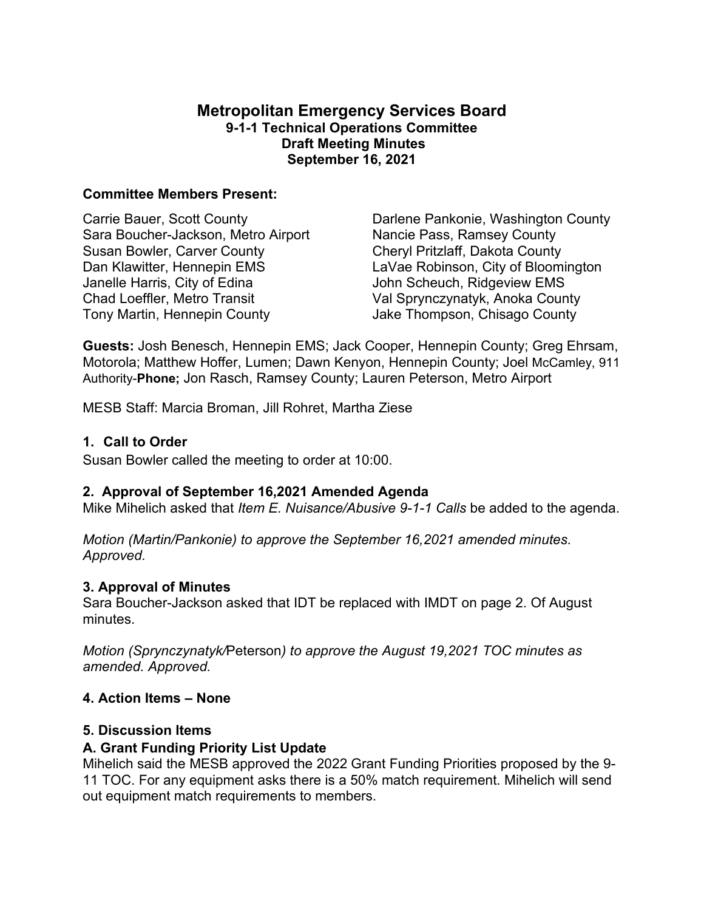# **Metropolitan Emergency Services Board 9-1-1 Technical Operations Committee Draft Meeting Minutes September 16, 2021**

#### **Committee Members Present:**

Carrie Bauer, Scott County Sara Boucher-Jackson, Metro Airport Susan Bowler, Carver County Dan Klawitter, Hennepin EMS Janelle Harris, City of Edina Chad Loeffler, Metro Transit Tony Martin, Hennepin County

Darlene Pankonie, Washington County Nancie Pass, Ramsey County Cheryl Pritzlaff, Dakota County LaVae Robinson, City of Bloomington John Scheuch, Ridgeview EMS Val Sprynczynatyk, Anoka County Jake Thompson, Chisago County

**Guests:** Josh Benesch, Hennepin EMS; Jack Cooper, Hennepin County; Greg Ehrsam, Motorola; Matthew Hoffer, Lumen; Dawn Kenyon, Hennepin County; Joel McCamley, 911 Authority-**Phone;** Jon Rasch, Ramsey County; Lauren Peterson, Metro Airport

MESB Staff: Marcia Broman, Jill Rohret, Martha Ziese

# **1. Call to Order**

Susan Bowler called the meeting to order at 10:00.

# **2. Approval of September 16,2021 Amended Agenda**

Mike Mihelich asked that *Item E. Nuisance/Abusive 9-1-1 Calls* be added to the agenda.

*Motion (Martin/Pankonie) to approve the September 16,2021 amended minutes. Approved.*

#### **3. Approval of Minutes**

Sara Boucher-Jackson asked that IDT be replaced with IMDT on page 2. Of August minutes.

*Motion (Sprynczynatyk/*Peterson*) to approve the August 19,2021 TOC minutes as amended. Approved.*

# **4. Action Items – None**

#### **5. Discussion Items**

# **A. Grant Funding Priority List Update**

Mihelich said the MESB approved the 2022 Grant Funding Priorities proposed by the 9- 11 TOC. For any equipment asks there is a 50% match requirement. Mihelich will send out equipment match requirements to members.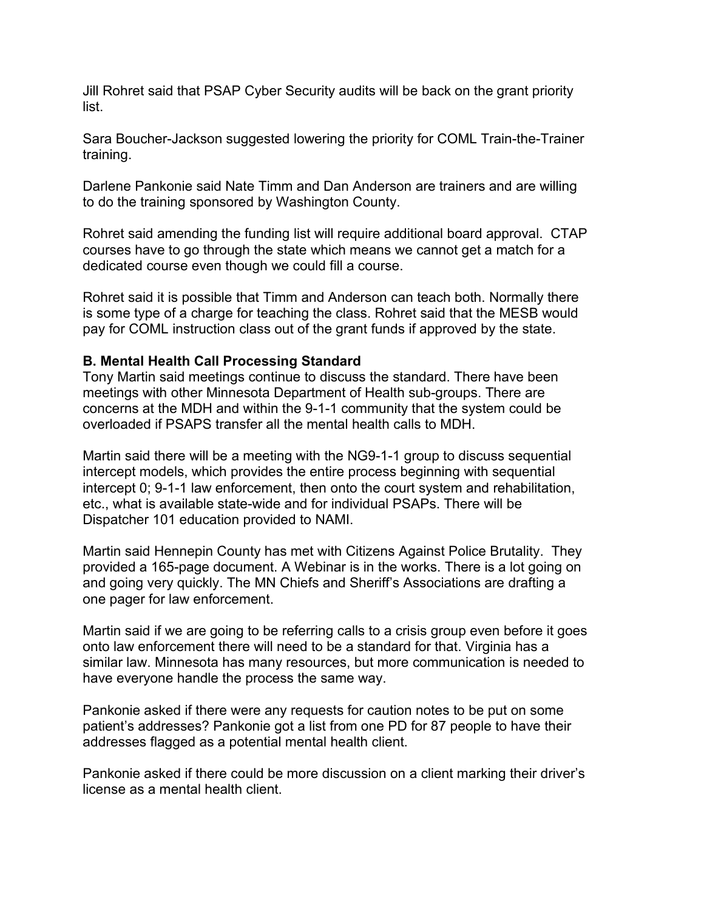Jill Rohret said that PSAP Cyber Security audits will be back on the grant priority list.

Sara Boucher-Jackson suggested lowering the priority for COML Train-the-Trainer training.

Darlene Pankonie said Nate Timm and Dan Anderson are trainers and are willing to do the training sponsored by Washington County.

Rohret said amending the funding list will require additional board approval. CTAP courses have to go through the state which means we cannot get a match for a dedicated course even though we could fill a course.

Rohret said it is possible that Timm and Anderson can teach both. Normally there is some type of a charge for teaching the class. Rohret said that the MESB would pay for COML instruction class out of the grant funds if approved by the state.

#### **B. Mental Health Call Processing Standard**

Tony Martin said meetings continue to discuss the standard. There have been meetings with other Minnesota Department of Health sub-groups. There are concerns at the MDH and within the 9-1-1 community that the system could be overloaded if PSAPS transfer all the mental health calls to MDH.

Martin said there will be a meeting with the NG9-1-1 group to discuss sequential intercept models, which provides the entire process beginning with sequential intercept 0; 9-1-1 law enforcement, then onto the court system and rehabilitation, etc., what is available state-wide and for individual PSAPs. There will be Dispatcher 101 education provided to NAMI.

Martin said Hennepin County has met with Citizens Against Police Brutality. They provided a 165-page document. A Webinar is in the works. There is a lot going on and going very quickly. The MN Chiefs and Sheriff's Associations are drafting a one pager for law enforcement.

Martin said if we are going to be referring calls to a crisis group even before it goes onto law enforcement there will need to be a standard for that. Virginia has a similar law. Minnesota has many resources, but more communication is needed to have everyone handle the process the same way.

Pankonie asked if there were any requests for caution notes to be put on some patient's addresses? Pankonie got a list from one PD for 87 people to have their addresses flagged as a potential mental health client.

Pankonie asked if there could be more discussion on a client marking their driver's license as a mental health client.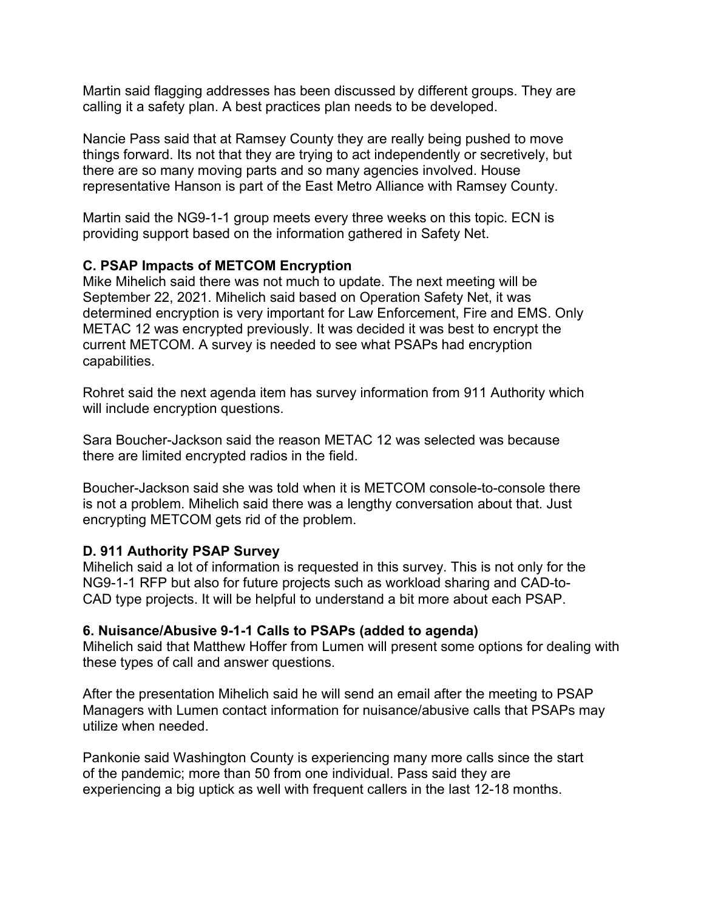Martin said flagging addresses has been discussed by different groups. They are calling it a safety plan. A best practices plan needs to be developed.

Nancie Pass said that at Ramsey County they are really being pushed to move things forward. Its not that they are trying to act independently or secretively, but there are so many moving parts and so many agencies involved. House representative Hanson is part of the East Metro Alliance with Ramsey County.

Martin said the NG9-1-1 group meets every three weeks on this topic. ECN is providing support based on the information gathered in Safety Net.

# **C. PSAP Impacts of METCOM Encryption**

Mike Mihelich said there was not much to update. The next meeting will be September 22, 2021. Mihelich said based on Operation Safety Net, it was determined encryption is very important for Law Enforcement, Fire and EMS. Only METAC 12 was encrypted previously. It was decided it was best to encrypt the current METCOM. A survey is needed to see what PSAPs had encryption capabilities.

Rohret said the next agenda item has survey information from 911 Authority which will include encryption questions.

Sara Boucher-Jackson said the reason METAC 12 was selected was because there are limited encrypted radios in the field.

Boucher-Jackson said she was told when it is METCOM console-to-console there is not a problem. Mihelich said there was a lengthy conversation about that. Just encrypting METCOM gets rid of the problem.

# **D. 911 Authority PSAP Survey**

Mihelich said a lot of information is requested in this survey. This is not only for the NG9-1-1 RFP but also for future projects such as workload sharing and CAD-to-CAD type projects. It will be helpful to understand a bit more about each PSAP.

# **6. Nuisance/Abusive 9-1-1 Calls to PSAPs (added to agenda)**

Mihelich said that Matthew Hoffer from Lumen will present some options for dealing with these types of call and answer questions.

After the presentation Mihelich said he will send an email after the meeting to PSAP Managers with Lumen contact information for nuisance/abusive calls that PSAPs may utilize when needed.

Pankonie said Washington County is experiencing many more calls since the start of the pandemic; more than 50 from one individual. Pass said they are experiencing a big uptick as well with frequent callers in the last 12-18 months.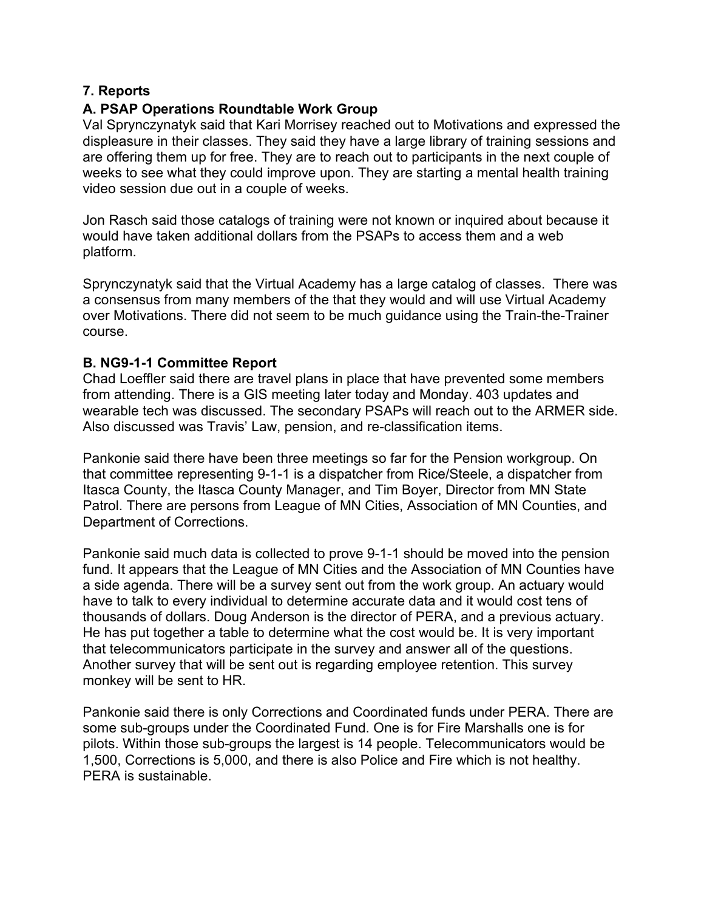# **7. Reports**

# **A. PSAP Operations Roundtable Work Group**

Val Sprynczynatyk said that Kari Morrisey reached out to Motivations and expressed the displeasure in their classes. They said they have a large library of training sessions and are offering them up for free. They are to reach out to participants in the next couple of weeks to see what they could improve upon. They are starting a mental health training video session due out in a couple of weeks.

Jon Rasch said those catalogs of training were not known or inquired about because it would have taken additional dollars from the PSAPs to access them and a web platform.

Sprynczynatyk said that the Virtual Academy has a large catalog of classes. There was a consensus from many members of the that they would and will use Virtual Academy over Motivations. There did not seem to be much guidance using the Train-the-Trainer course.

#### **B. NG9-1-1 Committee Report**

Chad Loeffler said there are travel plans in place that have prevented some members from attending. There is a GIS meeting later today and Monday. 403 updates and wearable tech was discussed. The secondary PSAPs will reach out to the ARMER side. Also discussed was Travis' Law, pension, and re-classification items.

Pankonie said there have been three meetings so far for the Pension workgroup. On that committee representing 9-1-1 is a dispatcher from Rice/Steele, a dispatcher from Itasca County, the Itasca County Manager, and Tim Boyer, Director from MN State Patrol. There are persons from League of MN Cities, Association of MN Counties, and Department of Corrections.

Pankonie said much data is collected to prove 9-1-1 should be moved into the pension fund. It appears that the League of MN Cities and the Association of MN Counties have a side agenda. There will be a survey sent out from the work group. An actuary would have to talk to every individual to determine accurate data and it would cost tens of thousands of dollars. Doug Anderson is the director of PERA, and a previous actuary. He has put together a table to determine what the cost would be. It is very important that telecommunicators participate in the survey and answer all of the questions. Another survey that will be sent out is regarding employee retention. This survey monkey will be sent to HR.

Pankonie said there is only Corrections and Coordinated funds under PERA. There are some sub-groups under the Coordinated Fund. One is for Fire Marshalls one is for pilots. Within those sub-groups the largest is 14 people. Telecommunicators would be 1,500, Corrections is 5,000, and there is also Police and Fire which is not healthy. PERA is sustainable.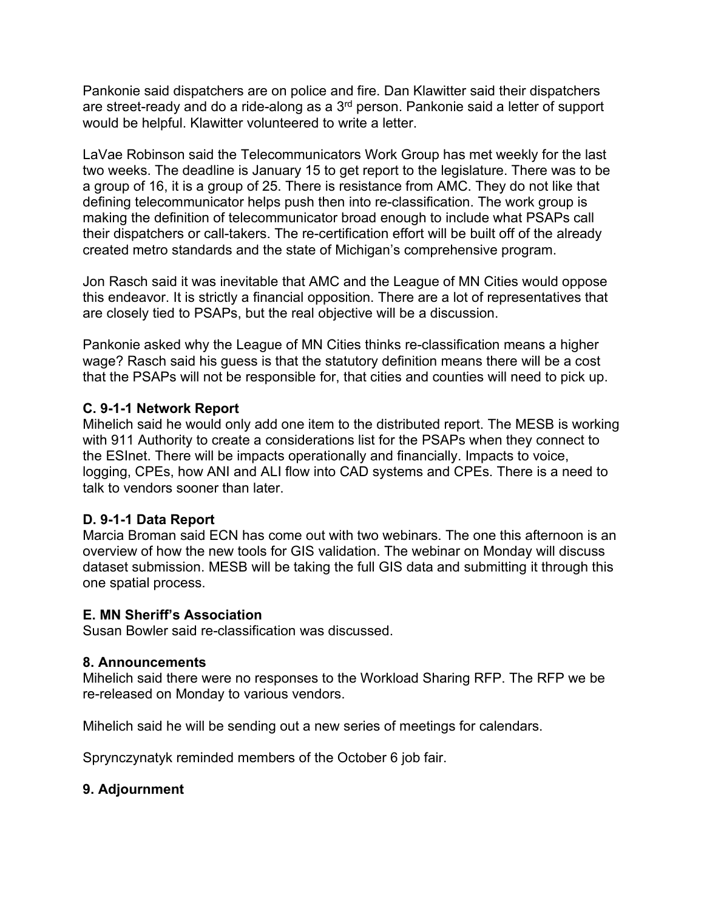Pankonie said dispatchers are on police and fire. Dan Klawitter said their dispatchers are street-ready and do a ride-along as a 3rd person. Pankonie said a letter of support would be helpful. Klawitter volunteered to write a letter.

LaVae Robinson said the Telecommunicators Work Group has met weekly for the last two weeks. The deadline is January 15 to get report to the legislature. There was to be a group of 16, it is a group of 25. There is resistance from AMC. They do not like that defining telecommunicator helps push then into re-classification. The work group is making the definition of telecommunicator broad enough to include what PSAPs call their dispatchers or call-takers. The re-certification effort will be built off of the already created metro standards and the state of Michigan's comprehensive program.

Jon Rasch said it was inevitable that AMC and the League of MN Cities would oppose this endeavor. It is strictly a financial opposition. There are a lot of representatives that are closely tied to PSAPs, but the real objective will be a discussion.

Pankonie asked why the League of MN Cities thinks re-classification means a higher wage? Rasch said his guess is that the statutory definition means there will be a cost that the PSAPs will not be responsible for, that cities and counties will need to pick up.

# **C. 9-1-1 Network Report**

Mihelich said he would only add one item to the distributed report. The MESB is working with 911 Authority to create a considerations list for the PSAPs when they connect to the ESInet. There will be impacts operationally and financially. Impacts to voice, logging, CPEs, how ANI and ALI flow into CAD systems and CPEs. There is a need to talk to vendors sooner than later.

# **D. 9-1-1 Data Report**

Marcia Broman said ECN has come out with two webinars. The one this afternoon is an overview of how the new tools for GIS validation. The webinar on Monday will discuss dataset submission. MESB will be taking the full GIS data and submitting it through this one spatial process.

# **E. MN Sheriff's Association**

Susan Bowler said re-classification was discussed.

# **8. Announcements**

Mihelich said there were no responses to the Workload Sharing RFP. The RFP we be re-released on Monday to various vendors.

Mihelich said he will be sending out a new series of meetings for calendars.

Sprynczynatyk reminded members of the October 6 job fair.

# **9. Adjournment**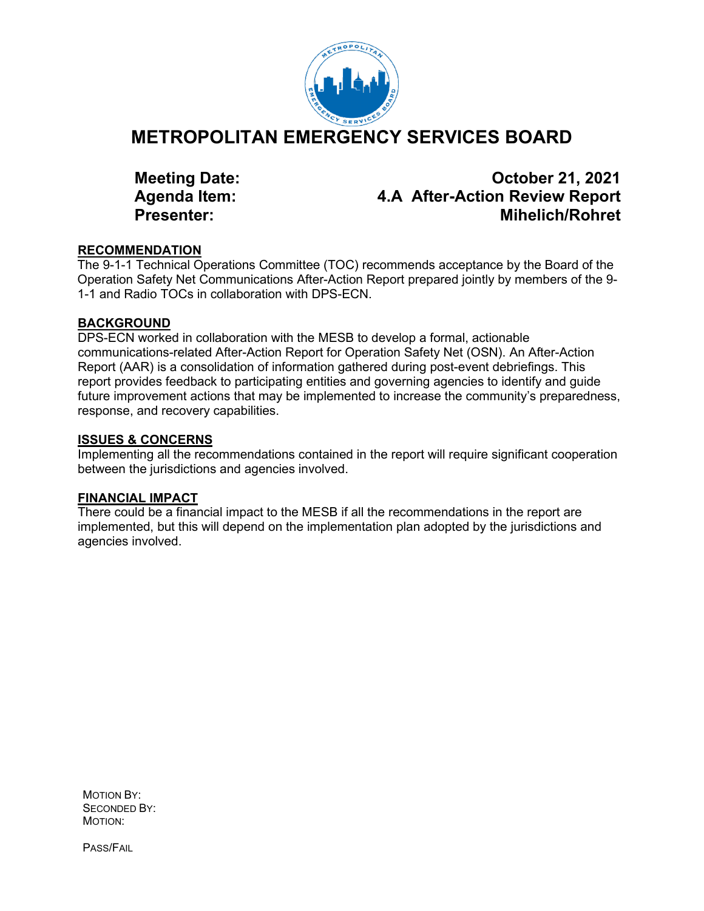

# **METROPOLITAN EMERGENCY SERVICES BOARD**

**Meeting Date: October 21, 2021 Agenda Item: 4.A After-Action Review Report Presenter: Mihelich/Rohret**

#### **RECOMMENDATION**

The 9-1-1 Technical Operations Committee (TOC) recommends acceptance by the Board of the Operation Safety Net Communications After-Action Report prepared jointly by members of the 9- 1-1 and Radio TOCs in collaboration with DPS-ECN.

#### **BACKGROUND**

DPS-ECN worked in collaboration with the MESB to develop a formal, actionable communications-related After-Action Report for Operation Safety Net (OSN). An After-Action Report (AAR) is a consolidation of information gathered during post-event debriefings. This report provides feedback to participating entities and governing agencies to identify and guide future improvement actions that may be implemented to increase the community's preparedness, response, and recovery capabilities.

#### **ISSUES & CONCERNS**

Implementing all the recommendations contained in the report will require significant cooperation between the jurisdictions and agencies involved.

# **FINANCIAL IMPACT**

There could be a financial impact to the MESB if all the recommendations in the report are implemented, but this will depend on the implementation plan adopted by the jurisdictions and agencies involved.

MOTION BY: SECONDED BY: MOTION:

PASS/FAIL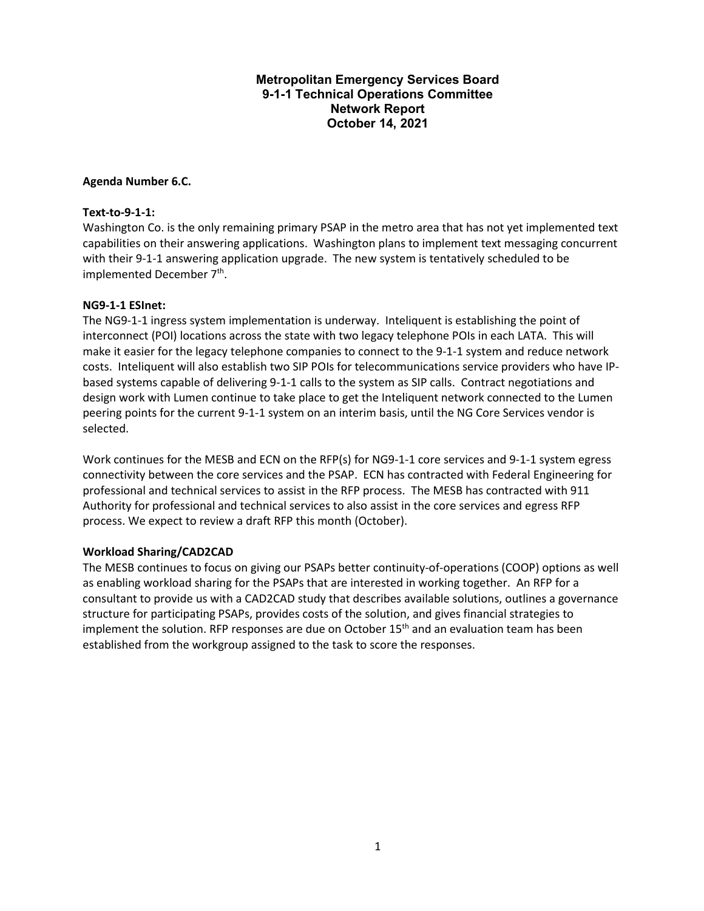#### **Metropolitan Emergency Services Board 9-1-1 Technical Operations Committee Network Report October 14, 2021**

#### **Agenda Number 6.C.**

#### **Text-to-9-1-1:**

Washington Co. is the only remaining primary PSAP in the metro area that has not yet implemented text capabilities on their answering applications. Washington plans to implement text messaging concurrent with their 9-1-1 answering application upgrade. The new system is tentatively scheduled to be implemented December 7<sup>th</sup>.

#### **NG9-1-1 ESInet:**

The NG9-1-1 ingress system implementation is underway. Inteliquent is establishing the point of interconnect (POI) locations across the state with two legacy telephone POIs in each LATA. This will make it easier for the legacy telephone companies to connect to the 9-1-1 system and reduce network costs. Inteliquent will also establish two SIP POIs for telecommunications service providers who have IPbased systems capable of delivering 9-1-1 calls to the system as SIP calls. Contract negotiations and design work with Lumen continue to take place to get the Inteliquent network connected to the Lumen peering points for the current 9-1-1 system on an interim basis, until the NG Core Services vendor is selected.

Work continues for the MESB and ECN on the RFP(s) for NG9-1-1 core services and 9-1-1 system egress connectivity between the core services and the PSAP. ECN has contracted with Federal Engineering for professional and technical services to assist in the RFP process. The MESB has contracted with 911 Authority for professional and technical services to also assist in the core services and egress RFP process. We expect to review a draft RFP this month (October).

#### **Workload Sharing/CAD2CAD**

The MESB continues to focus on giving our PSAPs better continuity-of-operations (COOP) options as well as enabling workload sharing for the PSAPs that are interested in working together. An RFP for a consultant to provide us with a CAD2CAD study that describes available solutions, outlines a governance structure for participating PSAPs, provides costs of the solution, and gives financial strategies to implement the solution. RFP responses are due on October  $15<sup>th</sup>$  and an evaluation team has been established from the workgroup assigned to the task to score the responses.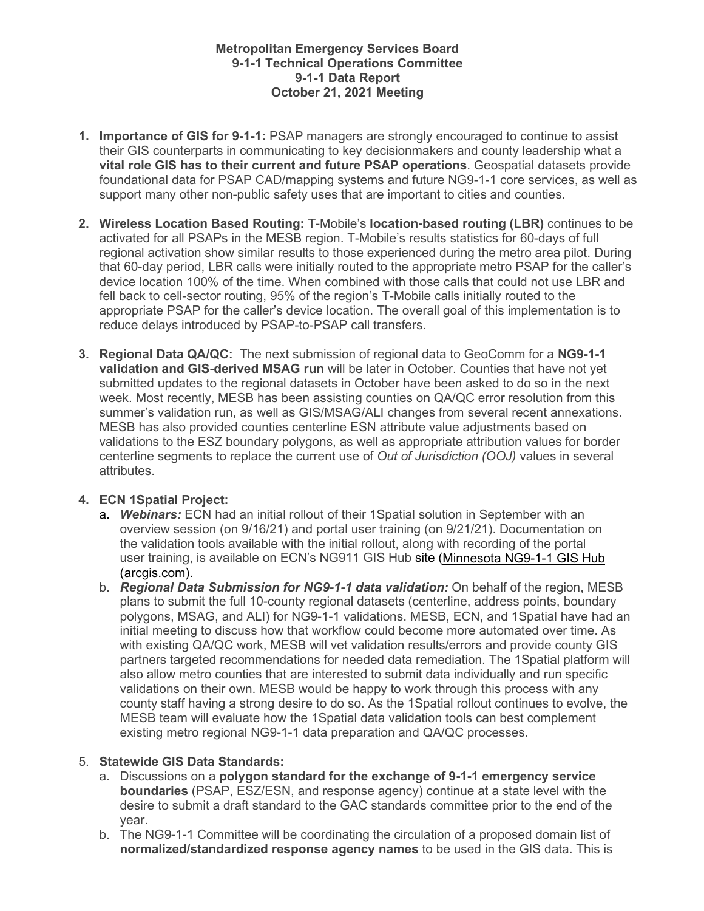#### **Metropolitan Emergency Services Board 9-1-1 Technical Operations Committee 9-1-1 Data Report October 21, 2021 Meeting**

- **1. Importance of GIS for 9-1-1:** PSAP managers are strongly encouraged to continue to assist their GIS counterparts in communicating to key decisionmakers and county leadership what a **vital role GIS has to their current and future PSAP operations**. Geospatial datasets provide foundational data for PSAP CAD/mapping systems and future NG9-1-1 core services, as well as support many other non-public safety uses that are important to cities and counties.
- **2. Wireless Location Based Routing:** T-Mobile's **location-based routing (LBR)** continues to be activated for all PSAPs in the MESB region. T-Mobile's results statistics for 60-days of full regional activation show similar results to those experienced during the metro area pilot. During that 60-day period, LBR calls were initially routed to the appropriate metro PSAP for the caller's device location 100% of the time. When combined with those calls that could not use LBR and fell back to cell-sector routing, 95% of the region's T-Mobile calls initially routed to the appropriate PSAP for the caller's device location. The overall goal of this implementation is to reduce delays introduced by PSAP-to-PSAP call transfers.
- **3. Regional Data QA/QC:** The next submission of regional data to GeoComm for a **NG9-1-1 validation and GIS-derived MSAG run** will be later in October. Counties that have not yet submitted updates to the regional datasets in October have been asked to do so in the next week. Most recently, MESB has been assisting counties on QA/QC error resolution from this summer's validation run, as well as GIS/MSAG/ALI changes from several recent annexations. MESB has also provided counties centerline ESN attribute value adjustments based on validations to the ESZ boundary polygons, as well as appropriate attribution values for border centerline segments to replace the current use of *Out of Jurisdiction (OOJ)* values in several attributes.

# **4. ECN 1Spatial Project:**

- a. *Webinars:* ECN had an initial rollout of their 1Spatial solution in September with an overview session (on 9/16/21) and portal user training (on 9/21/21). Documentation on the validation tools available with the initial rollout, along with recording of the portal user training, is available on ECN's NG911 GIS Hub site [\(Minnesota NG9-1-1 GIS Hub](https://ng911gis-minnesota.hub.arcgis.com/)  [\(arcgis.com\).](https://ng911gis-minnesota.hub.arcgis.com/)
- b. *Regional Data Submission for NG9-1-1 data validation:* On behalf of the region, MESB plans to submit the full 10-county regional datasets (centerline, address points, boundary polygons, MSAG, and ALI) for NG9-1-1 validations. MESB, ECN, and 1Spatial have had an initial meeting to discuss how that workflow could become more automated over time. As with existing QA/QC work, MESB will vet validation results/errors and provide county GIS partners targeted recommendations for needed data remediation. The 1Spatial platform will also allow metro counties that are interested to submit data individually and run specific validations on their own. MESB would be happy to work through this process with any county staff having a strong desire to do so. As the 1Spatial rollout continues to evolve, the MESB team will evaluate how the 1Spatial data validation tools can best complement existing metro regional NG9-1-1 data preparation and QA/QC processes.

#### 5. **Statewide GIS Data Standards:**

- a. Discussions on a **polygon standard for the exchange of 9-1-1 emergency service boundaries** (PSAP, ESZ/ESN, and response agency) continue at a state level with the desire to submit a draft standard to the GAC standards committee prior to the end of the year.
- b. The NG9-1-1 Committee will be coordinating the circulation of a proposed domain list of **normalized/standardized response agency names** to be used in the GIS data. This is